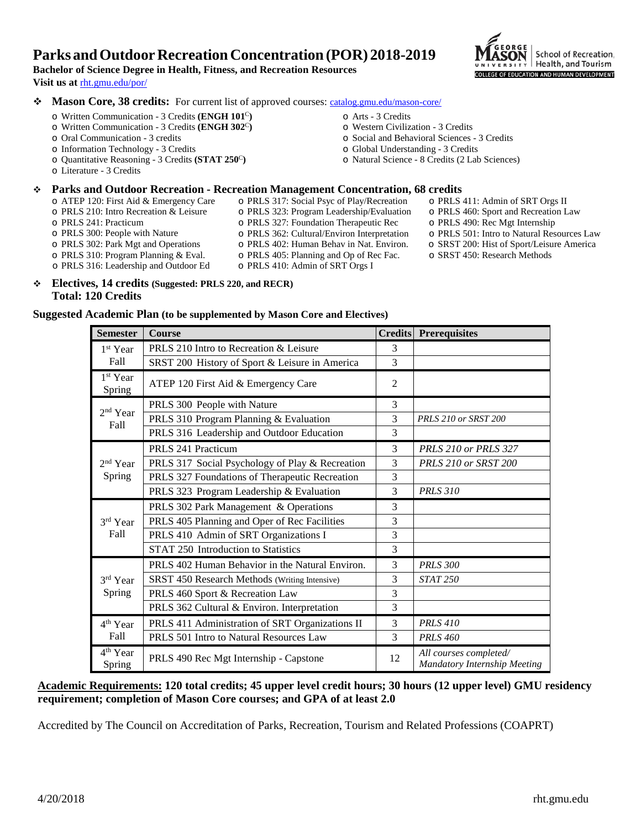## **Parks andOutdoorRecreationConcentration(POR) 2018-2019**



# **Visit us at** [rht.gmu.edu/por/](http://rht.gmu.edu/por/)

**Bachelor of Science Degree in Health, Fitness, and Recreation Resources**

- ◆ **Mason Core, 38 credits:** For current list of approved courses: [catalog.gmu.edu/mason-core/](http://catalog.gmu.edu/mason-core/)
	- o Written Communication 3 Credits **(ENGH 101**<sup>C</sup>**)**
	- o Written Communication 3 Credits **(ENGH 302**<sup>C</sup>**)**
	- o Oral Communication 3 credits
	- o Information Technology 3 Credits
	- o Quantitative Reasoning 3 Credits **(STAT 250**<sup>C</sup>**)**
	- o Literature 3 Credits

- **Parks and Outdoor Recreation - Recreation Management Concentration, 68 credits** o ATEP 120: First Aid & Emergency Care
	- o PRLS 210: Intro Recreation & Leisure
	- o PRLS 241: Practicum

o PRLS 300: People with Nature

o PRLS 317: Social Psyc of Play/Recreation o PRLS 323: Program Leadership/Evaluation

o Arts - 3 Credits

o Western Civilization - 3 Credits

o Global Understanding - 3 Credits

o Social and Behavioral Sciences - 3 Credits

o Natural Science - 8 Credits (2 Lab Sciences)

- o PRLS 327: Foundation Therapeutic Rec
- o PRLS 362: Cultural/Environ Interpretation
- o PRLS 402: Human Behav in Nat. Environ.
- o PRLS 405: Planning and Op of Rec Fac.
- o PRLS 501: Intro to Natural Resources Law o SRST 200: Hist of Sport/Leisure America
	- o SRST 450: Research Methods

o PRLS 411: Admin of SRT Orgs II o PRLS 460: Sport and Recreation Law o PRLS 490: Rec Mgt Internship

- o PRLS 302: Park Mgt and Operations o PRLS 310: Program Planning & Eval. o PRLS 316: Leadership and Outdoor Ed
- o PRLS 410: Admin of SRT Orgs I
- **Electives, 14 credits (Suggested: PRLS 220, and RECR) Total: 120 Credits**

#### **Suggested Academic Plan (to be supplemented by Mason Core and Electives)**

| <b>Semester</b>                | <b>Course</b>                                   |                | <b>Credits Prerequisites</b>                           |
|--------------------------------|-------------------------------------------------|----------------|--------------------------------------------------------|
| 1 <sup>st</sup> Year<br>Fall   | PRLS 210 Intro to Recreation & Leisure          | 3              |                                                        |
|                                | SRST 200 History of Sport & Leisure in America  | 3              |                                                        |
| 1 <sup>st</sup> Year<br>Spring | ATEP 120 First Aid & Emergency Care             | $\overline{2}$ |                                                        |
| $2nd$ Year<br>Fall             | PRLS 300 People with Nature                     | 3              |                                                        |
|                                | PRLS 310 Program Planning & Evaluation          | 3              | PRLS 210 or SRST 200                                   |
|                                | PRLS 316 Leadership and Outdoor Education       | 3              |                                                        |
| $2nd$ Year<br>Spring           | PRLS 241 Practicum                              | 3              | <b>PRLS 210 or PRLS 327</b>                            |
|                                | PRLS 317 Social Psychology of Play & Recreation | 3              | PRLS 210 or SRST 200                                   |
|                                | PRLS 327 Foundations of Therapeutic Recreation  | 3              |                                                        |
|                                | PRLS 323 Program Leadership & Evaluation        | 3              | <b>PRLS 310</b>                                        |
| 3rd Year<br>Fall               | PRLS 302 Park Management & Operations           | 3              |                                                        |
|                                | PRLS 405 Planning and Oper of Rec Facilities    | 3              |                                                        |
|                                | PRLS 410 Admin of SRT Organizations I           | 3              |                                                        |
|                                | STAT 250 Introduction to Statistics             | 3              |                                                        |
| 3rd Year<br>Spring             | PRLS 402 Human Behavior in the Natural Environ. | 3              | <b>PRLS 300</b>                                        |
|                                | SRST 450 Research Methods (Writing Intensive)   | 3              | <b>STAT 250</b>                                        |
|                                | PRLS 460 Sport & Recreation Law                 | 3              |                                                        |
|                                | PRLS 362 Cultural & Environ. Interpretation     | 3              |                                                        |
| $4th$ Year<br>Fall             | PRLS 411 Administration of SRT Organizations II | 3              | <b>PRLS 410</b>                                        |
|                                | PRLS 501 Intro to Natural Resources Law         | 3              | <b>PRLS 460</b>                                        |
| 4 <sup>th</sup> Year<br>Spring | PRLS 490 Rec Mgt Internship - Capstone          | 12             | All courses completed/<br>Mandatory Internship Meeting |

**Academic Requirements: 120 total credits; 45 upper level credit hours; 30 hours (12 upper level) GMU residency requirement; completion of Mason Core courses; and GPA of at least 2.0**

Accredited by The Council on Accreditation of Parks, Recreation, Tourism and Related Professions (COAPRT)